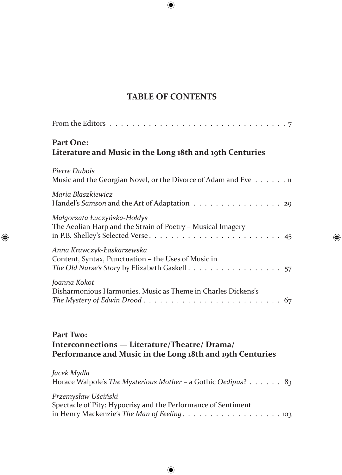## **TABLE OF CONTENTS**

| From the Editors $\dots \dots \dots \dots \dots \dots \dots \dots \dots \dots \dots \dots \dots$ |
|--------------------------------------------------------------------------------------------------|
| <b>Part One:</b><br>Literature and Music in the Long 18th and 19th Centuries                     |
| Pierre Dubois<br>Music and the Georgian Novel, or the Divorce of Adam and Eve 11                 |
| Maria Błaszkiewicz<br>Handel's Samson and the Art of Adaptation 29                               |
| Małgorzata Łuczyńska-Hołdys<br>The Aeolian Harp and the Strain of Poetry - Musical Imagery       |
| Anna Krawczyk-Łaskarzewska<br>Content, Syntax, Punctuation – the Uses of Music in                |
| Joanna Kokot<br>Disharmonious Harmonies. Music as Theme in Charles Dickens's                     |

## **Part Two: Interconnections — Literature/Theatre/ Drama/ Performance and Music in the Long 18th and 19th Centuries**

| Jacek Mydla                                                   |
|---------------------------------------------------------------|
| Horace Walpole's The Mysterious Mother - a Gothic Oedipus? 83 |
| Przemysław Uściński                                           |
| Spectacle of Pity: Hypocrisy and the Performance of Sentiment |
|                                                               |